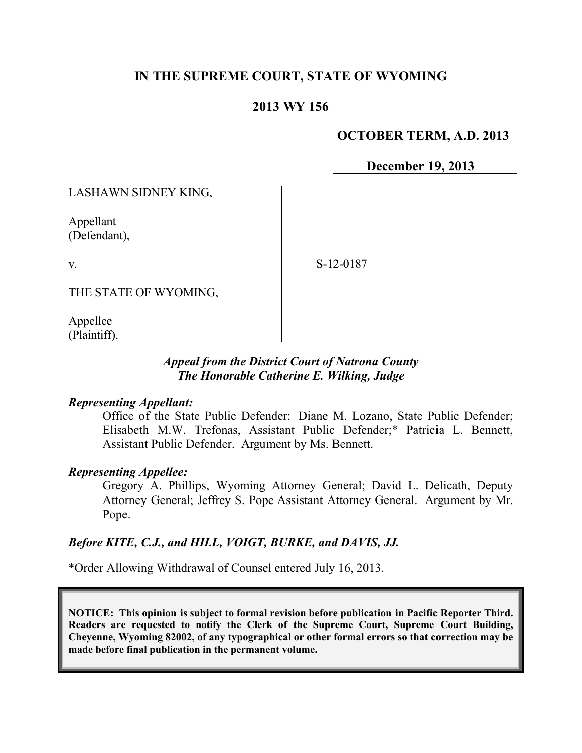# **IN THE SUPREME COURT, STATE OF WYOMING**

### **2013 WY 156**

#### **OCTOBER TERM, A.D. 2013**

**December 19, 2013**

LASHAWN SIDNEY KING,

Appellant (Defendant),

v.

S-12-0187

THE STATE OF WYOMING,

Appellee (Plaintiff).

#### *Appeal from the District Court of Natrona County The Honorable Catherine E. Wilking, Judge*

#### *Representing Appellant:*

Office of the State Public Defender: Diane M. Lozano, State Public Defender; Elisabeth M.W. Trefonas, Assistant Public Defender;\* Patricia L. Bennett, Assistant Public Defender. Argument by Ms. Bennett.

#### *Representing Appellee:*

Gregory A. Phillips, Wyoming Attorney General; David L. Delicath, Deputy Attorney General; Jeffrey S. Pope Assistant Attorney General. Argument by Mr. Pope.

#### *Before KITE, C.J., and HILL, VOIGT, BURKE, and DAVIS, JJ.*

\*Order Allowing Withdrawal of Counsel entered July 16, 2013.

**NOTICE: This opinion is subject to formal revision before publication in Pacific Reporter Third. Readers are requested to notify the Clerk of the Supreme Court, Supreme Court Building, Cheyenne, Wyoming 82002, of any typographical or other formal errors so that correction may be made before final publication in the permanent volume.**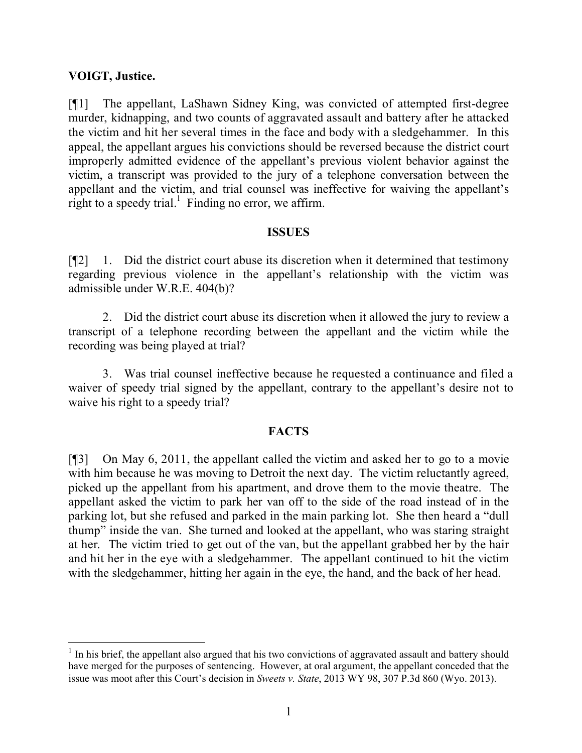### **VOIGT, Justice.**

 $\overline{a}$ 

[¶1] The appellant, LaShawn Sidney King, was convicted of attempted first-degree murder, kidnapping, and two counts of aggravated assault and battery after he attacked the victim and hit her several times in the face and body with a sledgehammer. In this appeal, the appellant argues his convictions should be reversed because the district court improperly admitted evidence of the appellant's previous violent behavior against the victim, a transcript was provided to the jury of a telephone conversation between the appellant and the victim, and trial counsel was ineffective for waiving the appellant's right to a speedy trial.<sup>1</sup> Finding no error, we affirm.

#### **ISSUES**

[¶2] 1. Did the district court abuse its discretion when it determined that testimony regarding previous violence in the appellant's relationship with the victim was admissible under W.R.E. 404(b)?

2. Did the district court abuse its discretion when it allowed the jury to review a transcript of a telephone recording between the appellant and the victim while the recording was being played at trial?

3. Was trial counsel ineffective because he requested a continuance and filed a waiver of speedy trial signed by the appellant, contrary to the appellant's desire not to waive his right to a speedy trial?

## **FACTS**

[¶3] On May 6, 2011, the appellant called the victim and asked her to go to a movie with him because he was moving to Detroit the next day. The victim reluctantly agreed, picked up the appellant from his apartment, and drove them to the movie theatre. The appellant asked the victim to park her van off to the side of the road instead of in the parking lot, but she refused and parked in the main parking lot. She then heard a "dull thump" inside the van. She turned and looked at the appellant, who was staring straight at her. The victim tried to get out of the van, but the appellant grabbed her by the hair and hit her in the eye with a sledgehammer. The appellant continued to hit the victim with the sledgehammer, hitting her again in the eye, the hand, and the back of her head.

<sup>&</sup>lt;sup>1</sup> In his brief, the appellant also argued that his two convictions of aggravated assault and battery should have merged for the purposes of sentencing. However, at oral argument, the appellant conceded that the issue was moot after this Court's decision in *Sweets v. State*, 2013 WY 98, 307 P.3d 860 (Wyo. 2013).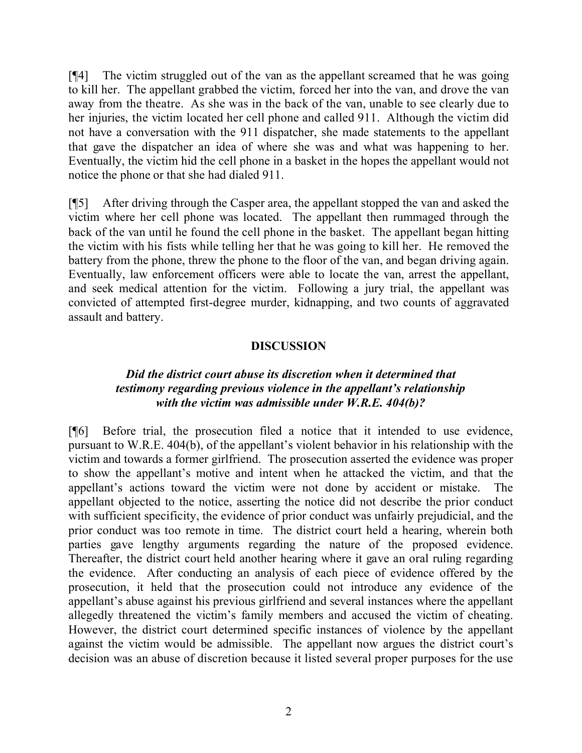[¶4] The victim struggled out of the van as the appellant screamed that he was going to kill her. The appellant grabbed the victim, forced her into the van, and drove the van away from the theatre. As she was in the back of the van, unable to see clearly due to her injuries, the victim located her cell phone and called 911. Although the victim did not have a conversation with the 911 dispatcher, she made statements to the appellant that gave the dispatcher an idea of where she was and what was happening to her. Eventually, the victim hid the cell phone in a basket in the hopes the appellant would not notice the phone or that she had dialed 911.

[¶5] After driving through the Casper area, the appellant stopped the van and asked the victim where her cell phone was located. The appellant then rummaged through the back of the van until he found the cell phone in the basket. The appellant began hitting the victim with his fists while telling her that he was going to kill her. He removed the battery from the phone, threw the phone to the floor of the van, and began driving again. Eventually, law enforcement officers were able to locate the van, arrest the appellant, and seek medical attention for the victim. Following a jury trial, the appellant was convicted of attempted first-degree murder, kidnapping, and two counts of aggravated assault and battery.

#### **DISCUSSION**

#### *Did the district court abuse its discretion when it determined that testimony regarding previous violence in the appellant's relationship with the victim was admissible under W.R.E. 404(b)?*

[¶6] Before trial, the prosecution filed a notice that it intended to use evidence, pursuant to W.R.E. 404(b), of the appellant's violent behavior in his relationship with the victim and towards a former girlfriend. The prosecution asserted the evidence was proper to show the appellant's motive and intent when he attacked the victim, and that the appellant's actions toward the victim were not done by accident or mistake. The appellant objected to the notice, asserting the notice did not describe the prior conduct with sufficient specificity, the evidence of prior conduct was unfairly prejudicial, and the prior conduct was too remote in time. The district court held a hearing, wherein both parties gave lengthy arguments regarding the nature of the proposed evidence. Thereafter, the district court held another hearing where it gave an oral ruling regarding the evidence. After conducting an analysis of each piece of evidence offered by the prosecution, it held that the prosecution could not introduce any evidence of the appellant's abuse against his previous girlfriend and several instances where the appellant allegedly threatened the victim's family members and accused the victim of cheating. However, the district court determined specific instances of violence by the appellant against the victim would be admissible. The appellant now argues the district court's decision was an abuse of discretion because it listed several proper purposes for the use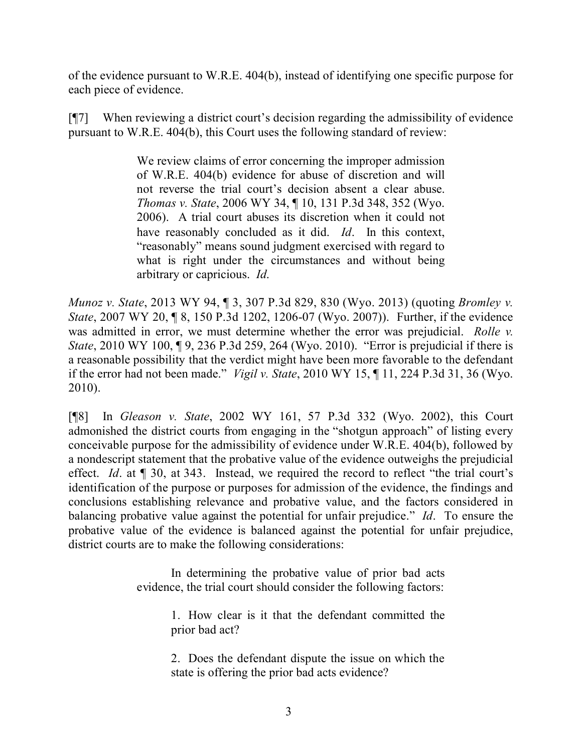of the evidence pursuant to W.R.E. 404(b), instead of identifying one specific purpose for each piece of evidence.

[¶7] When reviewing a district court's decision regarding the admissibility of evidence pursuant to W.R.E. 404(b), this Court uses the following standard of review:

> We review claims of error concerning the improper admission of W.R.E. 404(b) evidence for abuse of discretion and will not reverse the trial court's decision absent a clear abuse. *Thomas v. State*, 2006 WY 34, ¶ 10, 131 P.3d 348, 352 (Wyo. 2006). A trial court abuses its discretion when it could not have reasonably concluded as it did. *Id*. In this context, "reasonably" means sound judgment exercised with regard to what is right under the circumstances and without being arbitrary or capricious. *Id*.

*Munoz v. State*, 2013 WY 94, ¶ 3, 307 P.3d 829, 830 (Wyo. 2013) (quoting *Bromley v. State*, 2007 WY 20, 18, 150 P.3d 1202, 1206-07 (Wyo. 2007)). Further, if the evidence was admitted in error, we must determine whether the error was prejudicial. *Rolle v. State*, 2010 WY 100, 19, 236 P.3d 259, 264 (Wyo. 2010). "Error is prejudicial if there is a reasonable possibility that the verdict might have been more favorable to the defendant if the error had not been made." *Vigil v. State*, 2010 WY 15, ¶ 11, 224 P.3d 31, 36 (Wyo. 2010).

[¶8] In *Gleason v. State*, 2002 WY 161, 57 P.3d 332 (Wyo. 2002), this Court admonished the district courts from engaging in the "shotgun approach" of listing every conceivable purpose for the admissibility of evidence under W.R.E. 404(b), followed by a nondescript statement that the probative value of the evidence outweighs the prejudicial effect. *Id*. at ¶ 30, at 343. Instead, we required the record to reflect "the trial court's identification of the purpose or purposes for admission of the evidence, the findings and conclusions establishing relevance and probative value, and the factors considered in balancing probative value against the potential for unfair prejudice." *Id*. To ensure the probative value of the evidence is balanced against the potential for unfair prejudice, district courts are to make the following considerations:

> In determining the probative value of prior bad acts evidence, the trial court should consider the following factors:

> > 1. How clear is it that the defendant committed the prior bad act?

> > 2. Does the defendant dispute the issue on which the state is offering the prior bad acts evidence?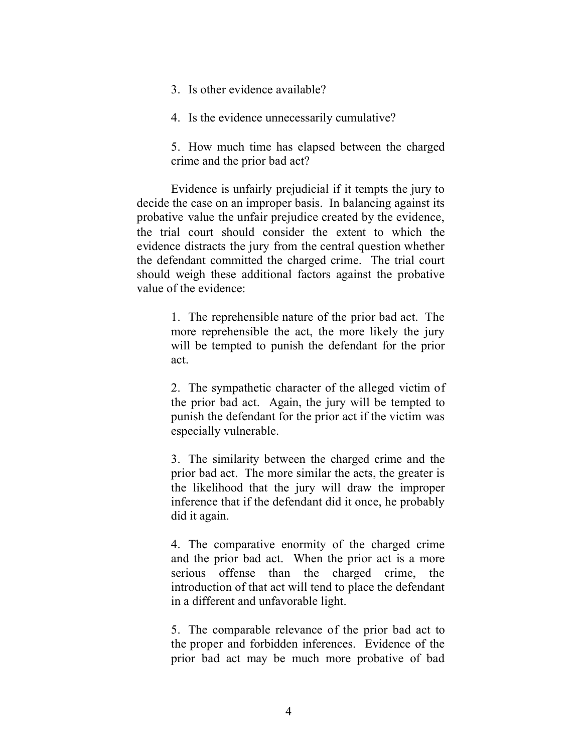- 3. Is other evidence available?
- 4. Is the evidence unnecessarily cumulative?

5. How much time has elapsed between the charged crime and the prior bad act?

Evidence is unfairly prejudicial if it tempts the jury to decide the case on an improper basis. In balancing against its probative value the unfair prejudice created by the evidence, the trial court should consider the extent to which the evidence distracts the jury from the central question whether the defendant committed the charged crime. The trial court should weigh these additional factors against the probative value of the evidence:

> 1. The reprehensible nature of the prior bad act. The more reprehensible the act, the more likely the jury will be tempted to punish the defendant for the prior act.

> 2. The sympathetic character of the alleged victim of the prior bad act. Again, the jury will be tempted to punish the defendant for the prior act if the victim was especially vulnerable.

> 3. The similarity between the charged crime and the prior bad act. The more similar the acts, the greater is the likelihood that the jury will draw the improper inference that if the defendant did it once, he probably did it again.

> 4. The comparative enormity of the charged crime and the prior bad act. When the prior act is a more serious offense than the charged crime, the introduction of that act will tend to place the defendant in a different and unfavorable light.

> 5. The comparable relevance of the prior bad act to the proper and forbidden inferences. Evidence of the prior bad act may be much more probative of bad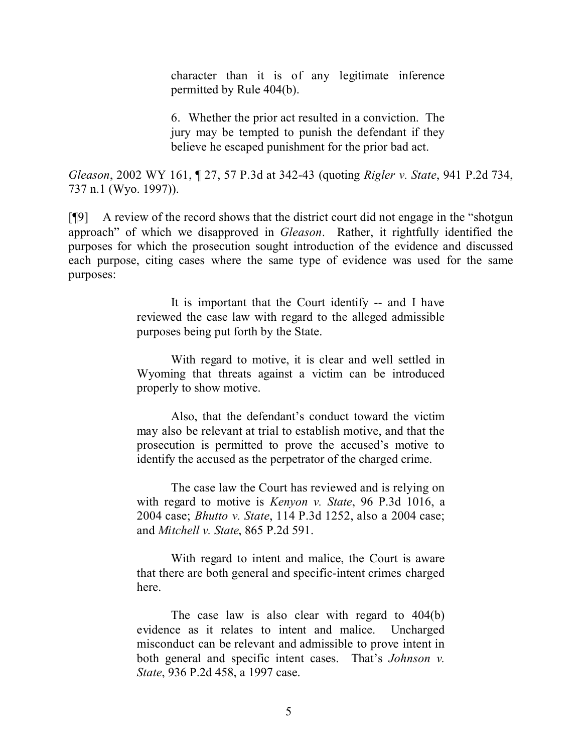character than it is of any legitimate inference permitted by Rule 404(b).

6. Whether the prior act resulted in a conviction. The jury may be tempted to punish the defendant if they believe he escaped punishment for the prior bad act.

*Gleason*, 2002 WY 161, ¶ 27, 57 P.3d at 342-43 (quoting *Rigler v. State*, 941 P.2d 734, 737 n.1 (Wyo. 1997)).

[¶9] A review of the record shows that the district court did not engage in the "shotgun approach" of which we disapproved in *Gleason*. Rather, it rightfully identified the purposes for which the prosecution sought introduction of the evidence and discussed each purpose, citing cases where the same type of evidence was used for the same purposes:

> It is important that the Court identify -- and I have reviewed the case law with regard to the alleged admissible purposes being put forth by the State.

> With regard to motive, it is clear and well settled in Wyoming that threats against a victim can be introduced properly to show motive.

> Also, that the defendant's conduct toward the victim may also be relevant at trial to establish motive, and that the prosecution is permitted to prove the accused's motive to identify the accused as the perpetrator of the charged crime.

> The case law the Court has reviewed and is relying on with regard to motive is *Kenyon v. State*, 96 P.3d 1016, a 2004 case; *Bhutto v. State*, 114 P.3d 1252, also a 2004 case; and *Mitchell v. State*, 865 P.2d 591.

> With regard to intent and malice, the Court is aware that there are both general and specific-intent crimes charged here.

> The case law is also clear with regard to 404(b) evidence as it relates to intent and malice. Uncharged misconduct can be relevant and admissible to prove intent in both general and specific intent cases. That's *Johnson v. State*, 936 P.2d 458, a 1997 case.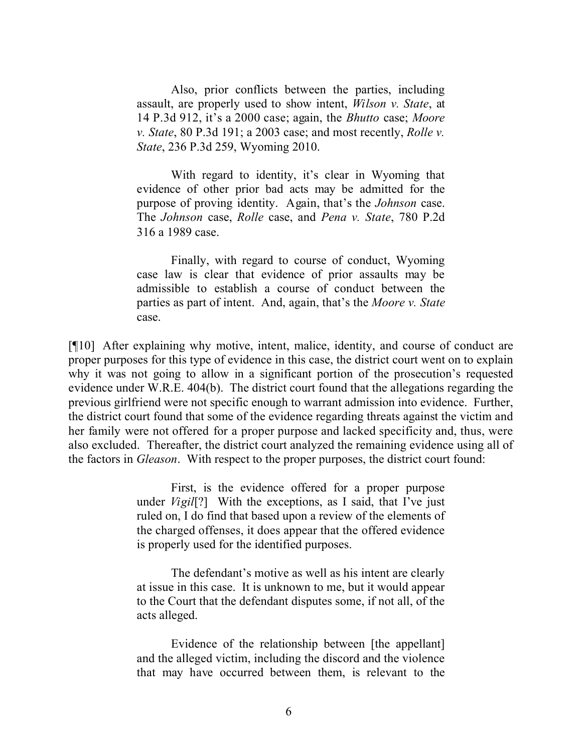Also, prior conflicts between the parties, including assault, are properly used to show intent, *Wilson v. State*, at 14 P.3d 912, it's a 2000 case; again, the *Bhutto* case; *Moore v. State*, 80 P.3d 191; a 2003 case; and most recently, *Rolle v. State*, 236 P.3d 259, Wyoming 2010.

With regard to identity, it's clear in Wyoming that evidence of other prior bad acts may be admitted for the purpose of proving identity. Again, that's the *Johnson* case. The *Johnson* case, *Rolle* case, and *Pena v. State*, 780 P.2d 316 a 1989 case.

Finally, with regard to course of conduct, Wyoming case law is clear that evidence of prior assaults may be admissible to establish a course of conduct between the parties as part of intent. And, again, that's the *Moore v. State* case.

[¶10] After explaining why motive, intent, malice, identity, and course of conduct are proper purposes for this type of evidence in this case, the district court went on to explain why it was not going to allow in a significant portion of the prosecution's requested evidence under W.R.E. 404(b). The district court found that the allegations regarding the previous girlfriend were not specific enough to warrant admission into evidence. Further, the district court found that some of the evidence regarding threats against the victim and her family were not offered for a proper purpose and lacked specificity and, thus, were also excluded. Thereafter, the district court analyzed the remaining evidence using all of the factors in *Gleason*. With respect to the proper purposes, the district court found:

> First, is the evidence offered for a proper purpose under *Vigil*[?] With the exceptions, as I said, that I've just ruled on, I do find that based upon a review of the elements of the charged offenses, it does appear that the offered evidence is properly used for the identified purposes.

> The defendant's motive as well as his intent are clearly at issue in this case. It is unknown to me, but it would appear to the Court that the defendant disputes some, if not all, of the acts alleged.

> Evidence of the relationship between [the appellant] and the alleged victim, including the discord and the violence that may have occurred between them, is relevant to the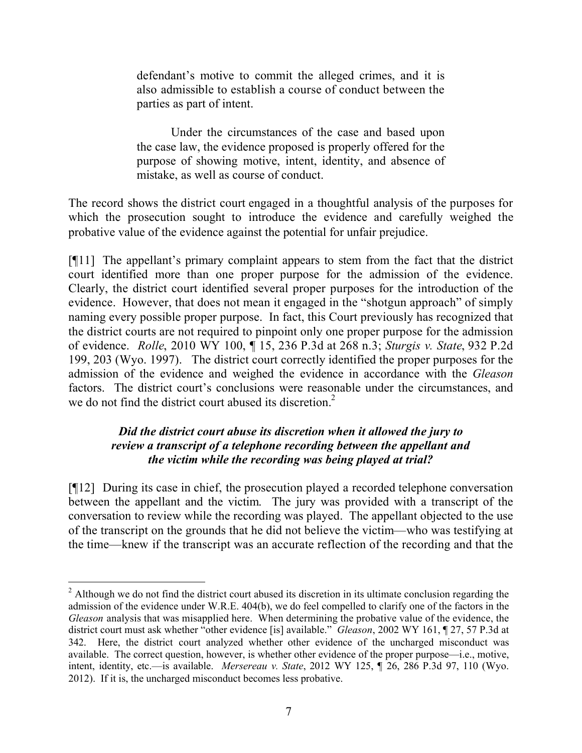defendant's motive to commit the alleged crimes, and it is also admissible to establish a course of conduct between the parties as part of intent.

Under the circumstances of the case and based upon the case law, the evidence proposed is properly offered for the purpose of showing motive, intent, identity, and absence of mistake, as well as course of conduct.

The record shows the district court engaged in a thoughtful analysis of the purposes for which the prosecution sought to introduce the evidence and carefully weighed the probative value of the evidence against the potential for unfair prejudice.

[¶11] The appellant's primary complaint appears to stem from the fact that the district court identified more than one proper purpose for the admission of the evidence. Clearly, the district court identified several proper purposes for the introduction of the evidence. However, that does not mean it engaged in the "shotgun approach" of simply naming every possible proper purpose. In fact, this Court previously has recognized that the district courts are not required to pinpoint only one proper purpose for the admission of evidence. *Rolle*, 2010 WY 100, ¶ 15, 236 P.3d at 268 n.3; *Sturgis v. State*, 932 P.2d 199, 203 (Wyo. 1997). The district court correctly identified the proper purposes for the admission of the evidence and weighed the evidence in accordance with the *Gleason*  factors. The district court's conclusions were reasonable under the circumstances, and we do not find the district court abused its discretion.<sup>2</sup>

## *Did the district court abuse its discretion when it allowed the jury to review a transcript of a telephone recording between the appellant and the victim while the recording was being played at trial?*

[¶12] During its case in chief, the prosecution played a recorded telephone conversation between the appellant and the victim. The jury was provided with a transcript of the conversation to review while the recording was played. The appellant objected to the use of the transcript on the grounds that he did not believe the victim—who was testifying at the time—knew if the transcript was an accurate reflection of the recording and that the

 $\overline{a}$ 

<sup>&</sup>lt;sup>2</sup> Although we do not find the district court abused its discretion in its ultimate conclusion regarding the admission of the evidence under W.R.E. 404(b), we do feel compelled to clarify one of the factors in the *Gleason* analysis that was misapplied here. When determining the probative value of the evidence, the district court must ask whether "other evidence [is] available." *Gleason*, 2002 WY 161, ¶ 27, 57 P.3d at 342. Here, the district court analyzed whether other evidence of the uncharged misconduct was available. The correct question, however, is whether other evidence of the proper purpose—i.e., motive, intent, identity, etc.—is available. *Mersereau v. State*, 2012 WY 125, ¶ 26, 286 P.3d 97, 110 (Wyo. 2012). If it is, the uncharged misconduct becomes less probative.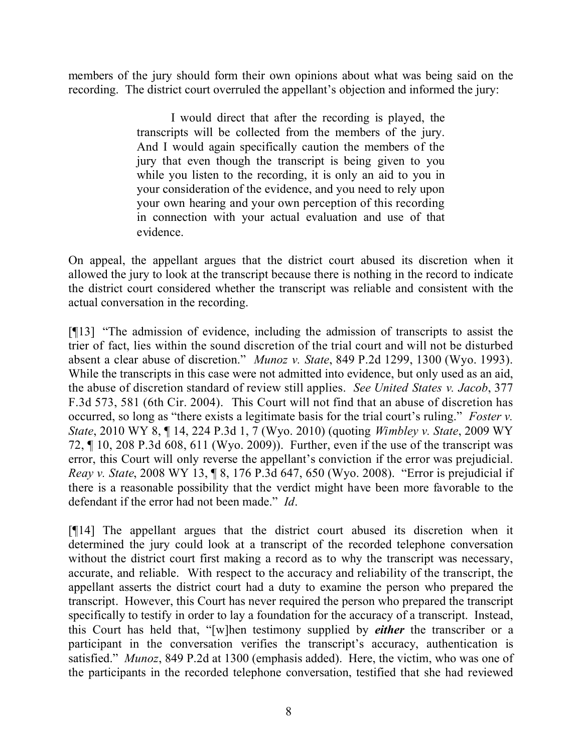members of the jury should form their own opinions about what was being said on the recording. The district court overruled the appellant's objection and informed the jury:

> I would direct that after the recording is played, the transcripts will be collected from the members of the jury. And I would again specifically caution the members of the jury that even though the transcript is being given to you while you listen to the recording, it is only an aid to you in your consideration of the evidence, and you need to rely upon your own hearing and your own perception of this recording in connection with your actual evaluation and use of that evidence.

On appeal, the appellant argues that the district court abused its discretion when it allowed the jury to look at the transcript because there is nothing in the record to indicate the district court considered whether the transcript was reliable and consistent with the actual conversation in the recording.

[¶13] "The admission of evidence, including the admission of transcripts to assist the trier of fact, lies within the sound discretion of the trial court and will not be disturbed absent a clear abuse of discretion." *Munoz v. State*, 849 P.2d 1299, 1300 (Wyo. 1993). While the transcripts in this case were not admitted into evidence, but only used as an aid, the abuse of discretion standard of review still applies. *See United States v. Jacob*, 377 F.3d 573, 581 (6th Cir. 2004). This Court will not find that an abuse of discretion has occurred, so long as "there exists a legitimate basis for the trial court's ruling." *Foster v. State*, 2010 WY 8, ¶ 14, 224 P.3d 1, 7 (Wyo. 2010) (quoting *Wimbley v. State*, 2009 WY 72, ¶ 10, 208 P.3d 608, 611 (Wyo. 2009)). Further, even if the use of the transcript was error, this Court will only reverse the appellant's conviction if the error was prejudicial. *Reay v. State*, 2008 WY 13, ¶ 8, 176 P.3d 647, 650 (Wyo. 2008). "Error is prejudicial if there is a reasonable possibility that the verdict might have been more favorable to the defendant if the error had not been made." *Id*.

[¶14] The appellant argues that the district court abused its discretion when it determined the jury could look at a transcript of the recorded telephone conversation without the district court first making a record as to why the transcript was necessary, accurate, and reliable. With respect to the accuracy and reliability of the transcript, the appellant asserts the district court had a duty to examine the person who prepared the transcript. However, this Court has never required the person who prepared the transcript specifically to testify in order to lay a foundation for the accuracy of a transcript. Instead, this Court has held that, "[w]hen testimony supplied by *either* the transcriber or a participant in the conversation verifies the transcript's accuracy, authentication is satisfied." *Munoz*, 849 P.2d at 1300 (emphasis added). Here, the victim, who was one of the participants in the recorded telephone conversation, testified that she had reviewed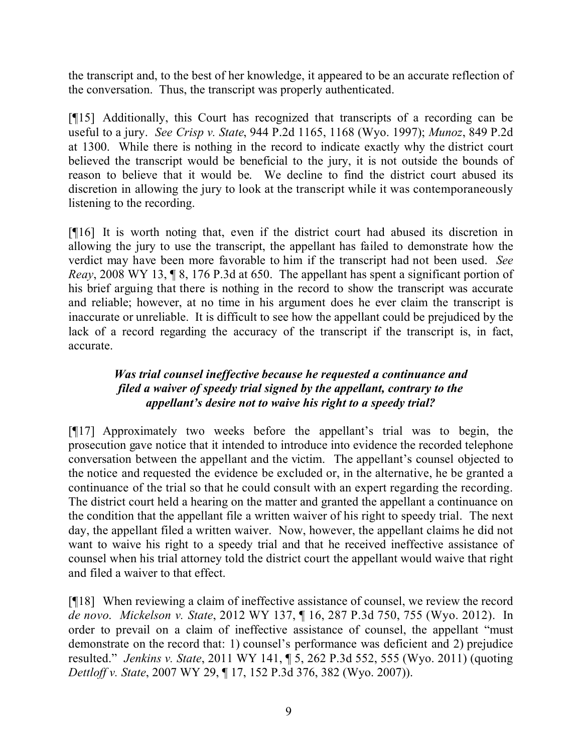the transcript and, to the best of her knowledge, it appeared to be an accurate reflection of the conversation. Thus, the transcript was properly authenticated.

[¶15] Additionally, this Court has recognized that transcripts of a recording can be useful to a jury. *See Crisp v. State*, 944 P.2d 1165, 1168 (Wyo. 1997); *Munoz*, 849 P.2d at 1300. While there is nothing in the record to indicate exactly why the district court believed the transcript would be beneficial to the jury, it is not outside the bounds of reason to believe that it would be. We decline to find the district court abused its discretion in allowing the jury to look at the transcript while it was contemporaneously listening to the recording.

[¶16] It is worth noting that, even if the district court had abused its discretion in allowing the jury to use the transcript, the appellant has failed to demonstrate how the verdict may have been more favorable to him if the transcript had not been used. *See Reay*, 2008 WY 13, 18, 176 P.3d at 650. The appellant has spent a significant portion of his brief arguing that there is nothing in the record to show the transcript was accurate and reliable; however, at no time in his argument does he ever claim the transcript is inaccurate or unreliable. It is difficult to see how the appellant could be prejudiced by the lack of a record regarding the accuracy of the transcript if the transcript is, in fact, accurate.

# *Was trial counsel ineffective because he requested a continuance and filed a waiver of speedy trial signed by the appellant, contrary to the appellant's desire not to waive his right to a speedy trial?*

[¶17] Approximately two weeks before the appellant's trial was to begin, the prosecution gave notice that it intended to introduce into evidence the recorded telephone conversation between the appellant and the victim. The appellant's counsel objected to the notice and requested the evidence be excluded or, in the alternative, he be granted a continuance of the trial so that he could consult with an expert regarding the recording. The district court held a hearing on the matter and granted the appellant a continuance on the condition that the appellant file a written waiver of his right to speedy trial. The next day, the appellant filed a written waiver. Now, however, the appellant claims he did not want to waive his right to a speedy trial and that he received ineffective assistance of counsel when his trial attorney told the district court the appellant would waive that right and filed a waiver to that effect.

[¶18] When reviewing a claim of ineffective assistance of counsel, we review the record *de novo*. *Mickelson v. State*, 2012 WY 137, ¶ 16, 287 P.3d 750, 755 (Wyo. 2012). In order to prevail on a claim of ineffective assistance of counsel, the appellant "must demonstrate on the record that: 1) counsel's performance was deficient and 2) prejudice resulted." *Jenkins v. State*, 2011 WY 141, ¶ 5, 262 P.3d 552, 555 (Wyo. 2011) (quoting *Dettloff v. State*, 2007 WY 29, ¶ 17, 152 P.3d 376, 382 (Wyo. 2007)).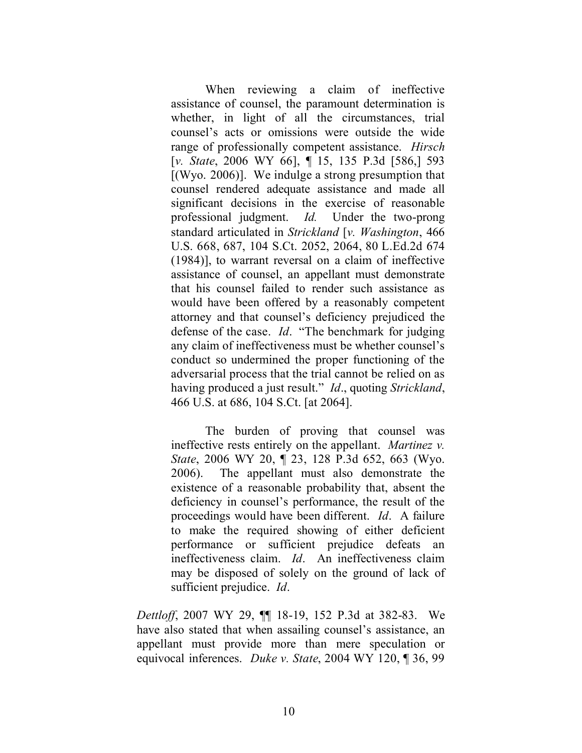When reviewing a claim of ineffective assistance of counsel, the paramount determination is whether, in light of all the circumstances, trial counsel's acts or omissions were outside the wide range of professionally competent assistance. *Hirsch* [*v. State*, 2006 WY 66], ¶ 15, 135 P.3d [586,] 593  $[(Wyo. 2006)]$ . We indulge a strong presumption that counsel rendered adequate assistance and made all significant decisions in the exercise of reasonable professional judgment. *Id.* Under the two-prong standard articulated in *Strickland* [*v. Washington*, 466 U.S. 668, 687, 104 S.Ct. 2052, 2064, 80 L.Ed.2d 674 (1984)], to warrant reversal on a claim of ineffective assistance of counsel, an appellant must demonstrate that his counsel failed to render such assistance as would have been offered by a reasonably competent attorney and that counsel's deficiency prejudiced the defense of the case. *Id*. "The benchmark for judging any claim of ineffectiveness must be whether counsel's conduct so undermined the proper functioning of the adversarial process that the trial cannot be relied on as having produced a just result." *Id*., quoting *Strickland*, 466 U.S. at 686, 104 S.Ct. [at 2064].

The burden of proving that counsel was ineffective rests entirely on the appellant. *Martinez v. State*, 2006 WY 20, ¶ 23, 128 P.3d 652, 663 (Wyo. 2006). The appellant must also demonstrate the existence of a reasonable probability that, absent the deficiency in counsel's performance, the result of the proceedings would have been different. *Id*. A failure to make the required showing of either deficient performance or sufficient prejudice defeats an ineffectiveness claim. *Id*. An ineffectiveness claim may be disposed of solely on the ground of lack of sufficient prejudice. *Id*.

*Dettloff*, 2007 WY 29, ¶¶ 18-19, 152 P.3d at 382-83. We have also stated that when assailing counsel's assistance, an appellant must provide more than mere speculation or equivocal inferences. *Duke v. State*, 2004 WY 120, ¶ 36, 99